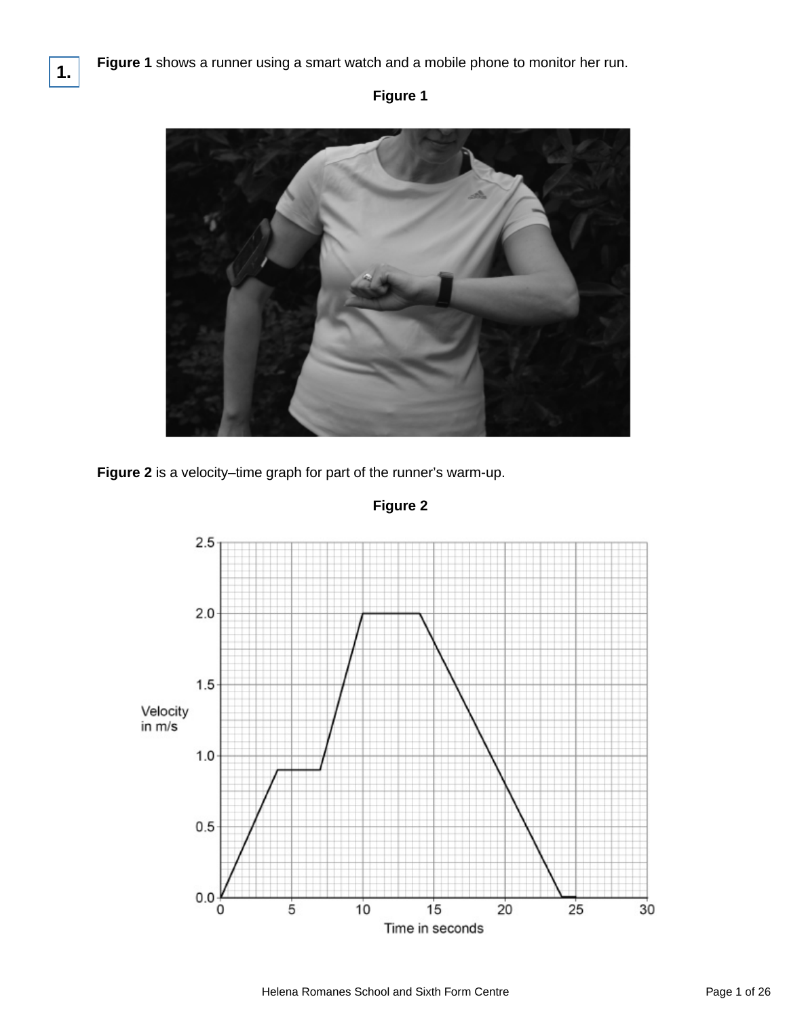## **Figure 1**





**Figure 2**

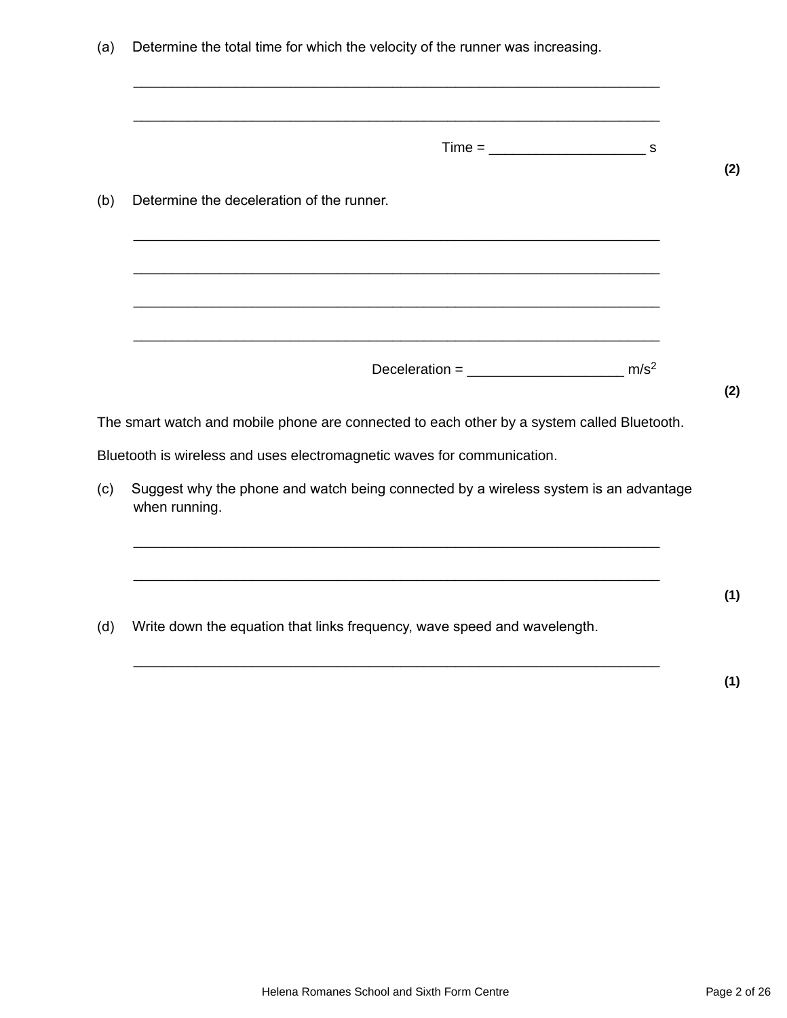|     | Determine the deceleration of the runner.                                                                              |
|-----|------------------------------------------------------------------------------------------------------------------------|
|     |                                                                                                                        |
|     |                                                                                                                        |
|     |                                                                                                                        |
|     | The smart watch and mobile phone are connected to each other by a system called Bluetooth.                             |
|     |                                                                                                                        |
|     | Bluetooth is wireless and uses electromagnetic waves for communication.                                                |
|     | Suggest why the phone and watch being connected by a wireless system is an advantage<br>when running.                  |
|     | <u> 1989 - Johann Barn, mars ann an t-Amhainn an t-Amhainn an t-Amhainn an t-Amhainn an t-Amhainn an t-Amhainn an </u> |
|     |                                                                                                                        |
| (c) |                                                                                                                        |

**(1)**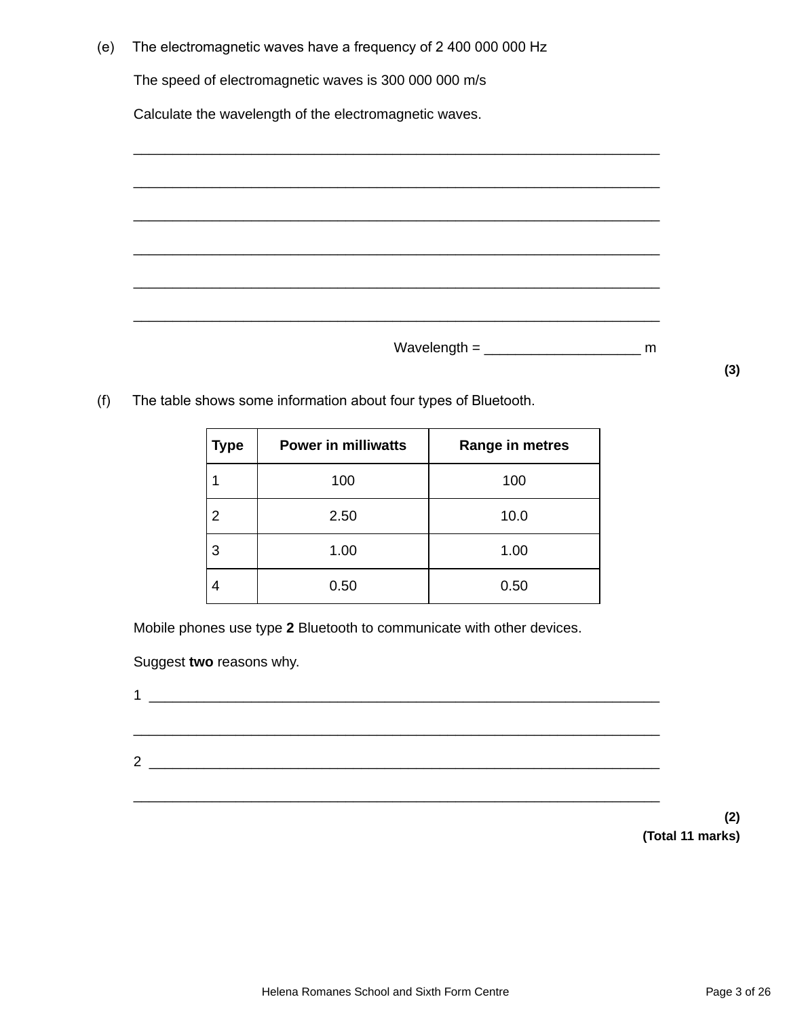| (e) | The electromagnetic waves have a frequency of 2400 000 000 Hz |
|-----|---------------------------------------------------------------|
|     | The speed of electromagnetic waves is 300 000 000 m/s         |
|     | Calculate the wavelength of the electromagnetic waves.        |
|     |                                                               |
|     |                                                               |
|     |                                                               |
|     |                                                               |
|     |                                                               |
|     |                                                               |
|     |                                                               |

 $Wave length = \begin{bmatrix} 1 & 0 \\ 0 & 1 \end{bmatrix}$ 

(f) The table shows some information about four types of Bluetooth.

| <b>Type</b> | <b>Power in milliwatts</b> | Range in metres |
|-------------|----------------------------|-----------------|
|             | 100                        | 100             |
| 2           | 2.50                       | 10.0            |
| 3           | 1.00                       | 1.00            |
|             | 0.50                       | 0.50            |

Mobile phones use type **2** Bluetooth to communicate with other devices.

Suggest **two** reasons why.

| . . |  |
|-----|--|
|     |  |
|     |  |
| 2   |  |
|     |  |
|     |  |

**(2) (Total 11 marks)**

**(3)**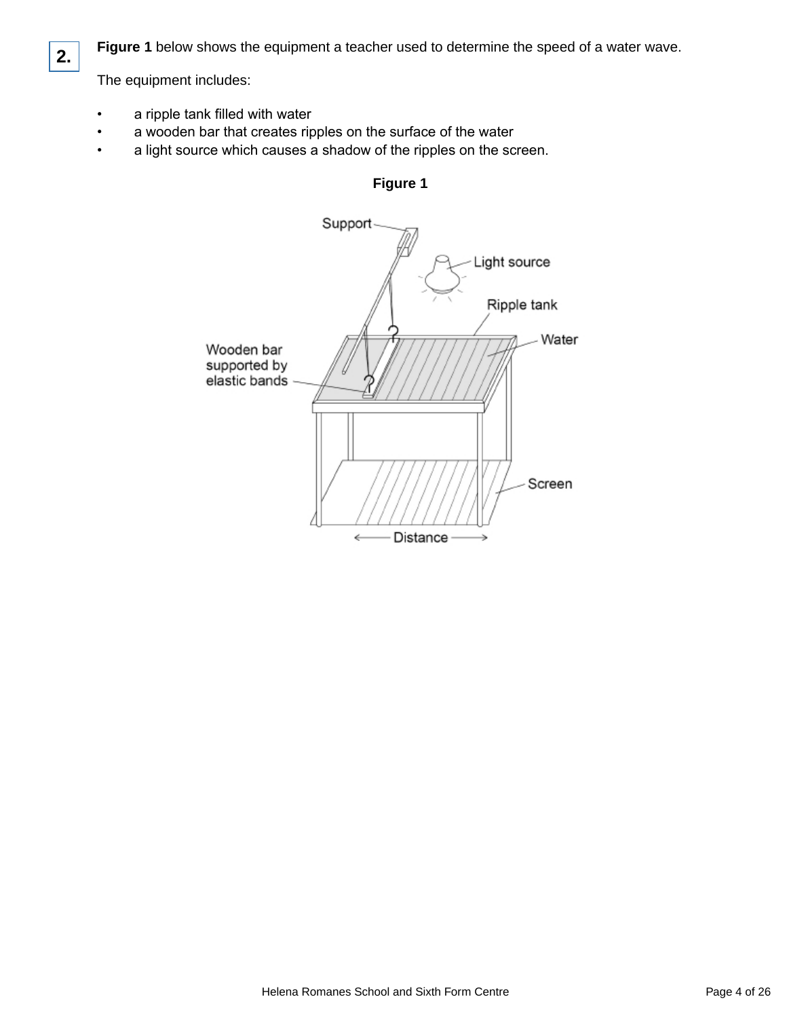

**Figure 1** below shows the equipment a teacher used to determine the speed of a water wave.

The equipment includes:

- a ripple tank filled with water
- a wooden bar that creates ripples on the surface of the water
- a light source which causes a shadow of the ripples on the screen.



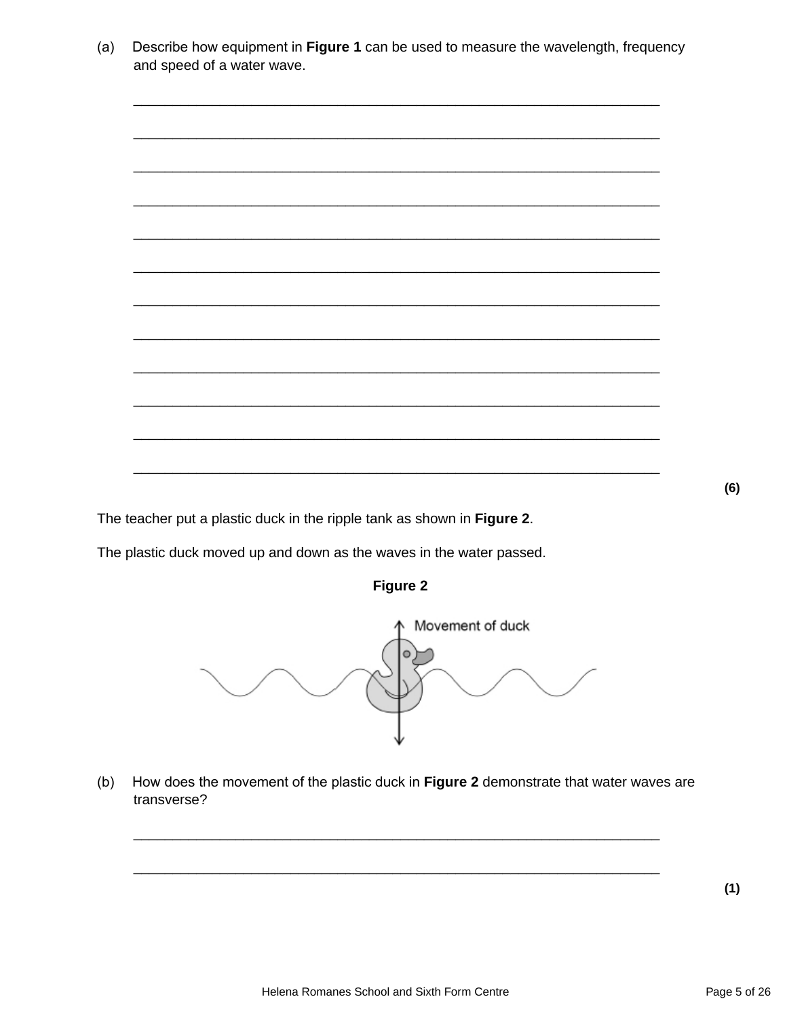Describe how equipment in Figure 1 can be used to measure the wavelength, frequency  $(a)$ and speed of a water wave.



The teacher put a plastic duck in the ripple tank as shown in Figure 2.

The plastic duck moved up and down as the waves in the water passed.





How does the movement of the plastic duck in Figure 2 demonstrate that water waves are  $(b)$ transverse?

 $(1)$ 

 $(6)$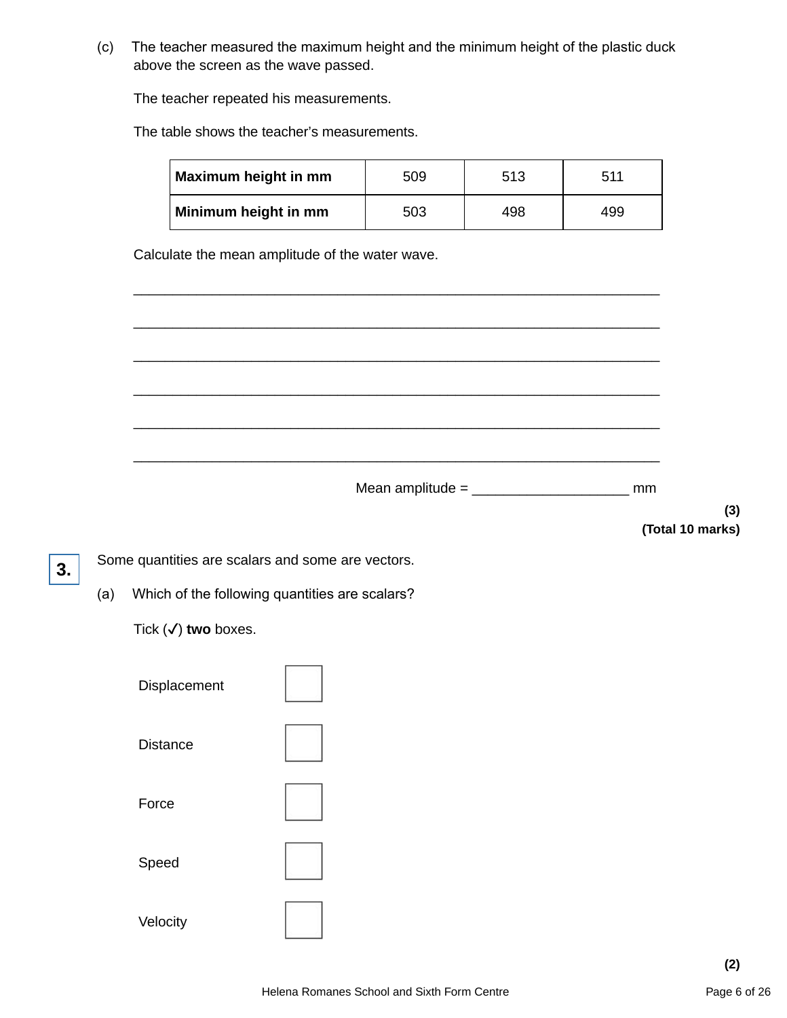(c) The teacher measured the maximum height and the minimum height of the plastic duck above the screen as the wave passed.

The teacher repeated his measurements.

The table shows the teacher's measurements.

| Maximum height in mm | 509 | 513 | 511 |
|----------------------|-----|-----|-----|
| Minimum height in mm | 503 | 498 | 499 |

\_\_\_\_\_\_\_\_\_\_\_\_\_\_\_\_\_\_\_\_\_\_\_\_\_\_\_\_\_\_\_\_\_\_\_\_\_\_\_\_\_\_\_\_\_\_\_\_\_\_\_\_\_\_\_\_\_\_\_\_\_\_\_\_\_\_\_

\_\_\_\_\_\_\_\_\_\_\_\_\_\_\_\_\_\_\_\_\_\_\_\_\_\_\_\_\_\_\_\_\_\_\_\_\_\_\_\_\_\_\_\_\_\_\_\_\_\_\_\_\_\_\_\_\_\_\_\_\_\_\_\_\_\_\_

\_\_\_\_\_\_\_\_\_\_\_\_\_\_\_\_\_\_\_\_\_\_\_\_\_\_\_\_\_\_\_\_\_\_\_\_\_\_\_\_\_\_\_\_\_\_\_\_\_\_\_\_\_\_\_\_\_\_\_\_\_\_\_\_\_\_\_

\_\_\_\_\_\_\_\_\_\_\_\_\_\_\_\_\_\_\_\_\_\_\_\_\_\_\_\_\_\_\_\_\_\_\_\_\_\_\_\_\_\_\_\_\_\_\_\_\_\_\_\_\_\_\_\_\_\_\_\_\_\_\_\_\_\_\_

\_\_\_\_\_\_\_\_\_\_\_\_\_\_\_\_\_\_\_\_\_\_\_\_\_\_\_\_\_\_\_\_\_\_\_\_\_\_\_\_\_\_\_\_\_\_\_\_\_\_\_\_\_\_\_\_\_\_\_\_\_\_\_\_\_\_\_

\_\_\_\_\_\_\_\_\_\_\_\_\_\_\_\_\_\_\_\_\_\_\_\_\_\_\_\_\_\_\_\_\_\_\_\_\_\_\_\_\_\_\_\_\_\_\_\_\_\_\_\_\_\_\_\_\_\_\_\_\_\_\_\_\_\_\_

Calculate the mean amplitude of the water wave.

Mean amplitude =  $\frac{1}{2}$  mm

**(3) (Total 10 marks)**

Some quantities are scalars and some are vectors.

(a) Which of the following quantities are scalars?

Tick (✓) **two** boxes.

**3.**

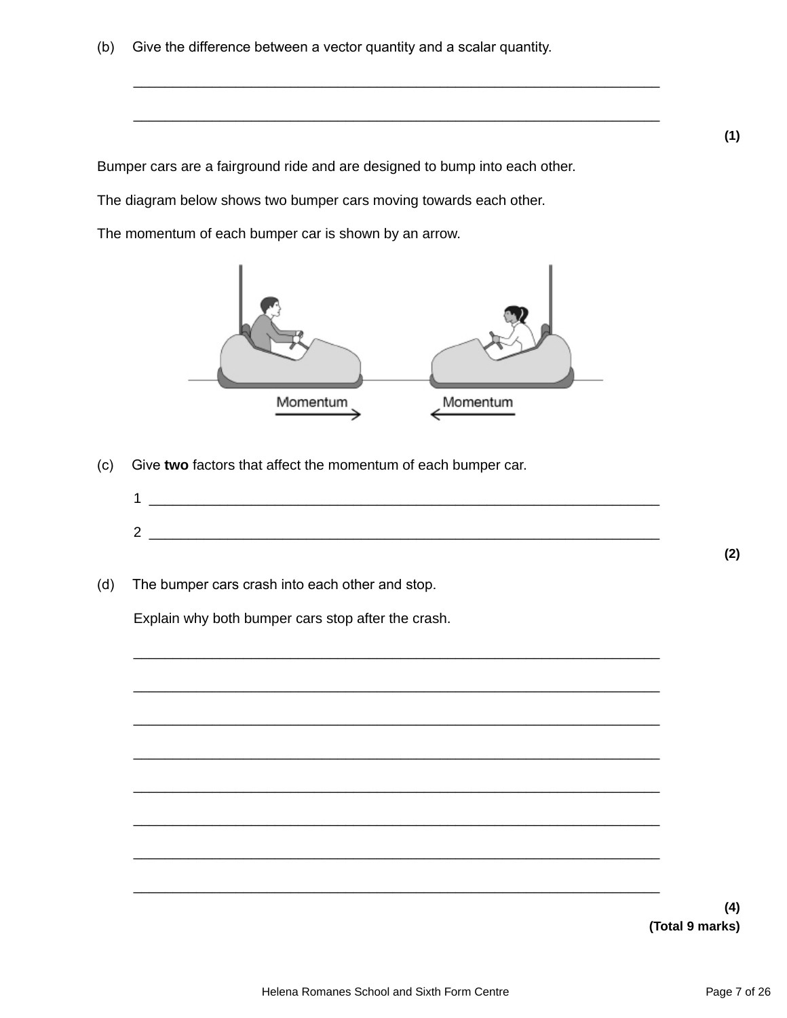(b) Give the difference between a vector quantity and a scalar quantity.

Bumper cars are a fairground ride and are designed to bump into each other.

The diagram below shows two bumper cars moving towards each other.

The momentum of each bumper car is shown by an arrow.



\_\_\_\_\_\_\_\_\_\_\_\_\_\_\_\_\_\_\_\_\_\_\_\_\_\_\_\_\_\_\_\_\_\_\_\_\_\_\_\_\_\_\_\_\_\_\_\_\_\_\_\_\_\_\_\_\_\_\_\_\_\_\_\_\_\_\_

\_\_\_\_\_\_\_\_\_\_\_\_\_\_\_\_\_\_\_\_\_\_\_\_\_\_\_\_\_\_\_\_\_\_\_\_\_\_\_\_\_\_\_\_\_\_\_\_\_\_\_\_\_\_\_\_\_\_\_\_\_\_\_\_\_\_\_

- (c) Give **two** factors that affect the momentum of each bumper car.
	- $1 \ \_$  $2 \quad$

\_\_\_\_\_\_\_\_\_\_\_\_\_\_\_\_\_\_\_\_\_\_\_\_\_\_\_\_\_\_\_\_\_\_\_\_\_\_\_\_\_\_\_\_\_\_\_\_\_\_\_\_\_\_\_\_\_\_\_\_\_\_\_\_\_\_\_

\_\_\_\_\_\_\_\_\_\_\_\_\_\_\_\_\_\_\_\_\_\_\_\_\_\_\_\_\_\_\_\_\_\_\_\_\_\_\_\_\_\_\_\_\_\_\_\_\_\_\_\_\_\_\_\_\_\_\_\_\_\_\_\_\_\_\_

\_\_\_\_\_\_\_\_\_\_\_\_\_\_\_\_\_\_\_\_\_\_\_\_\_\_\_\_\_\_\_\_\_\_\_\_\_\_\_\_\_\_\_\_\_\_\_\_\_\_\_\_\_\_\_\_\_\_\_\_\_\_\_\_\_\_\_

\_\_\_\_\_\_\_\_\_\_\_\_\_\_\_\_\_\_\_\_\_\_\_\_\_\_\_\_\_\_\_\_\_\_\_\_\_\_\_\_\_\_\_\_\_\_\_\_\_\_\_\_\_\_\_\_\_\_\_\_\_\_\_\_\_\_\_

\_\_\_\_\_\_\_\_\_\_\_\_\_\_\_\_\_\_\_\_\_\_\_\_\_\_\_\_\_\_\_\_\_\_\_\_\_\_\_\_\_\_\_\_\_\_\_\_\_\_\_\_\_\_\_\_\_\_\_\_\_\_\_\_\_\_\_

\_\_\_\_\_\_\_\_\_\_\_\_\_\_\_\_\_\_\_\_\_\_\_\_\_\_\_\_\_\_\_\_\_\_\_\_\_\_\_\_\_\_\_\_\_\_\_\_\_\_\_\_\_\_\_\_\_\_\_\_\_\_\_\_\_\_\_

\_\_\_\_\_\_\_\_\_\_\_\_\_\_\_\_\_\_\_\_\_\_\_\_\_\_\_\_\_\_\_\_\_\_\_\_\_\_\_\_\_\_\_\_\_\_\_\_\_\_\_\_\_\_\_\_\_\_\_\_\_\_\_\_\_\_\_

\_\_\_\_\_\_\_\_\_\_\_\_\_\_\_\_\_\_\_\_\_\_\_\_\_\_\_\_\_\_\_\_\_\_\_\_\_\_\_\_\_\_\_\_\_\_\_\_\_\_\_\_\_\_\_\_\_\_\_\_\_\_\_\_\_\_\_

(d) The bumper cars crash into each other and stop.

Explain why both bumper cars stop after the crash.

**(4) (Total 9 marks)**

**(2)**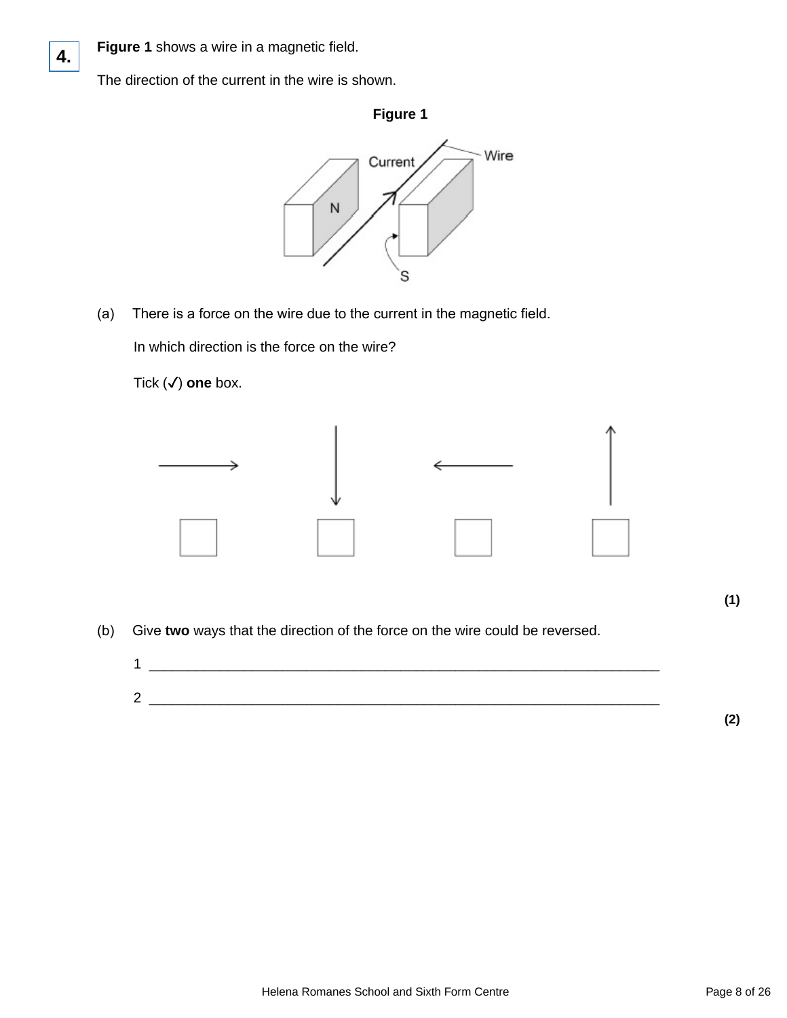

**4.**

The direction of the current in the wire is shown.



(a) There is a force on the wire due to the current in the magnetic field.

In which direction is the force on the wire?

Tick (✓) **one** box.



(b) Give **two** ways that the direction of the force on the wire could be reversed.



**(2)**

**(1)**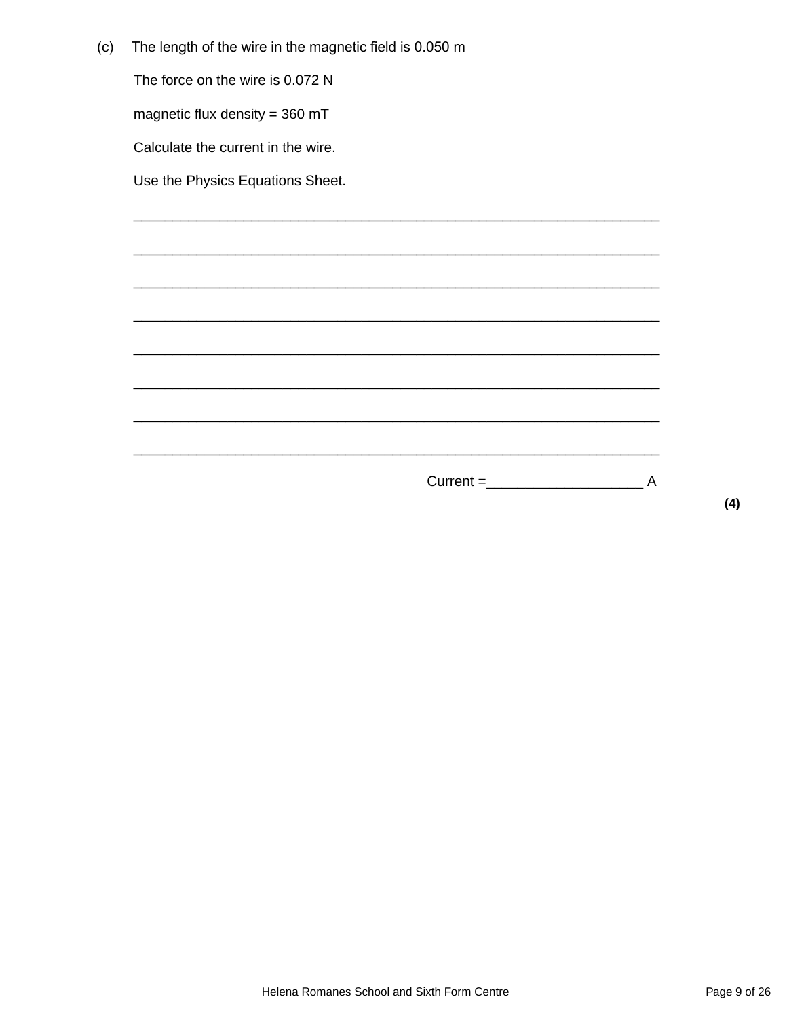| (c) | The length of the wire in the magnetic field is 0.050 m |
|-----|---------------------------------------------------------|
|     |                                                         |

The force on the wire is 0.072 N

magnetic flux density =  $360$  mT

Calculate the current in the wire.

Use the Physics Equations Sheet.

 $(4)$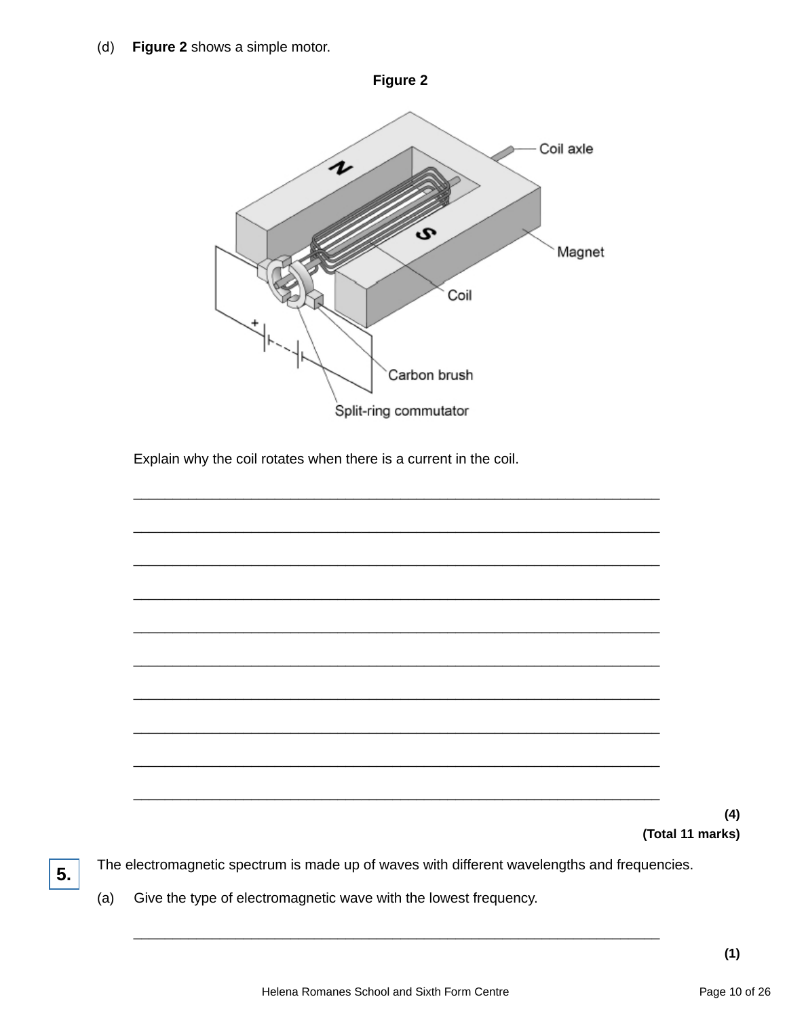Figure 2 shows a simple motor.  $(d)$ 



Give the type of electromagnetic wave with the lowest frequency.  $(a)$ 

5.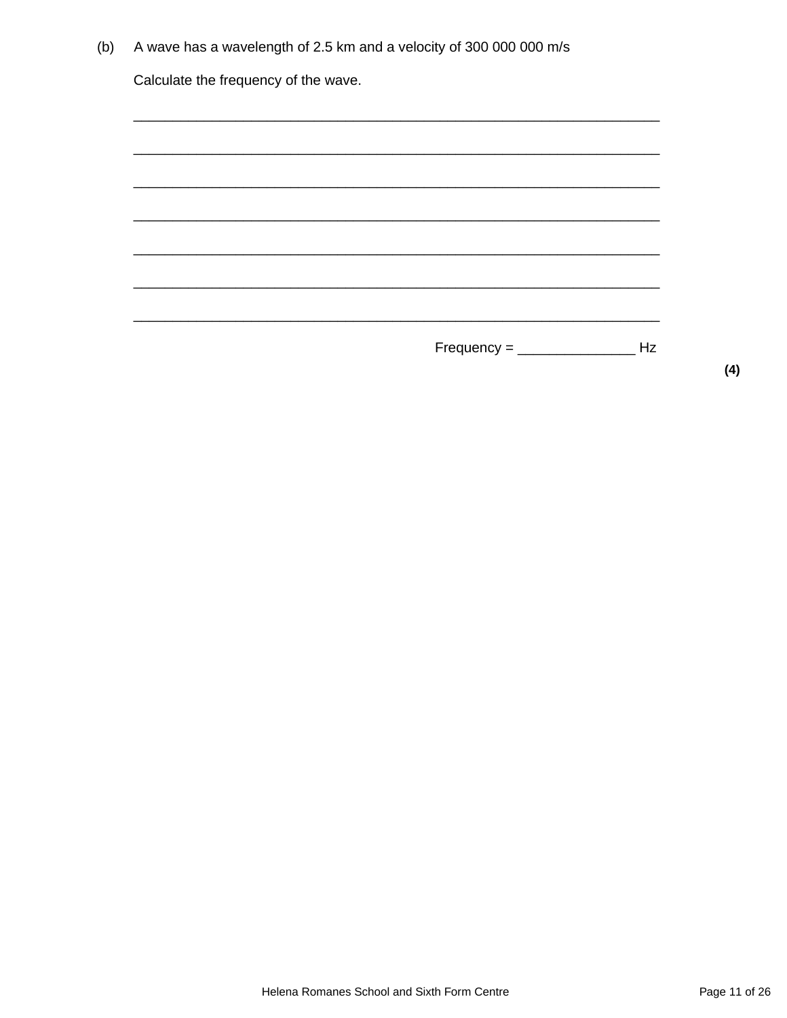| (b) | A wave has a wavelength of 2.5 km and a velocity of 300 000 000 m/s |  |
|-----|---------------------------------------------------------------------|--|
|     |                                                                     |  |

Calculate the frequency of the wave.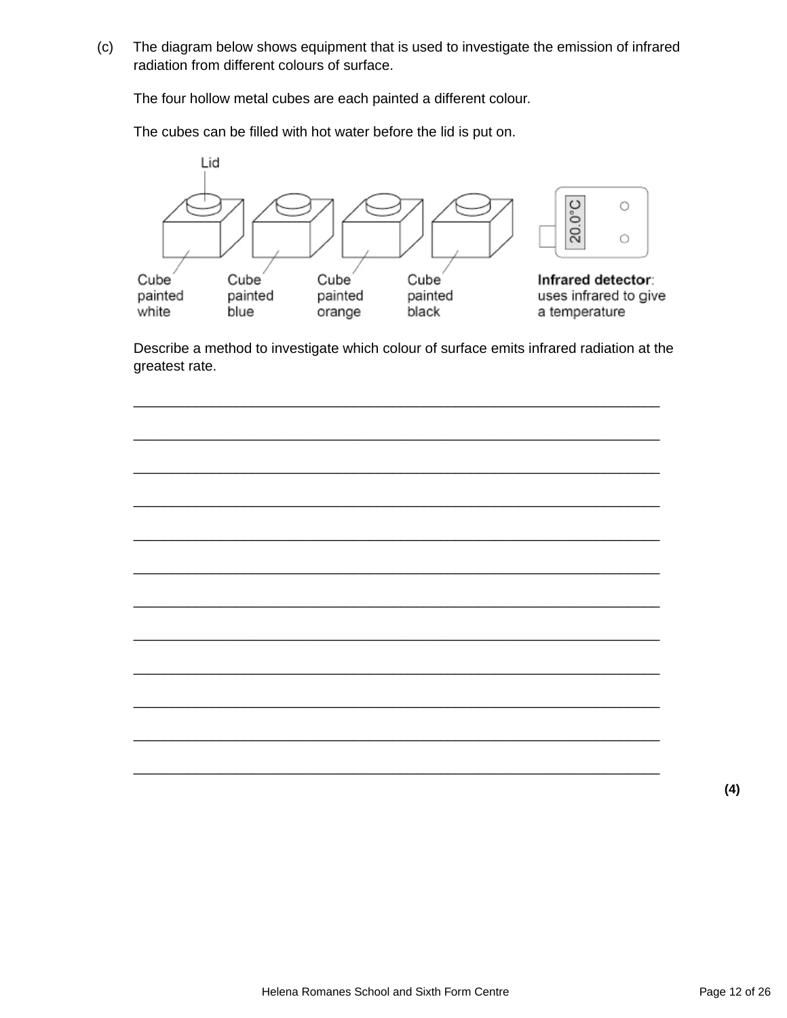(c) The diagram below shows equipment that is used to investigate the emission of infrared radiation from different colours of surface.

The four hollow metal cubes are each painted a different colour.

The cubes can be filled with hot water before the lid is put on.



Describe a method to investigate which colour of surface emits infrared radiation at the greatest rate.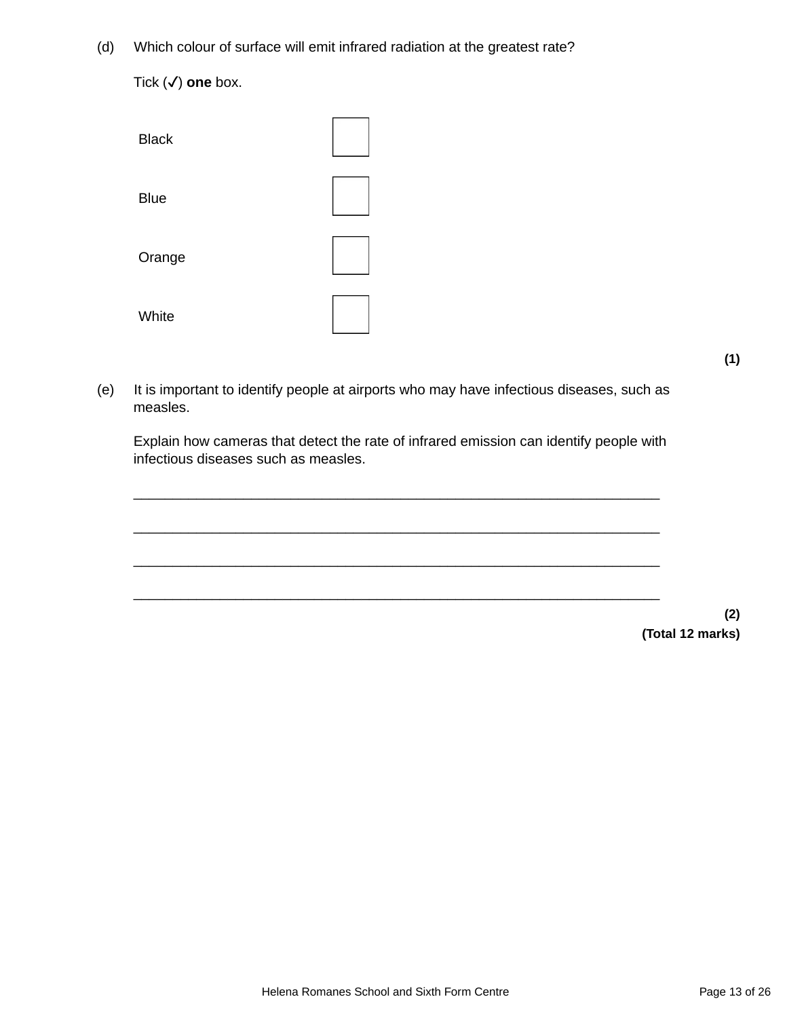(d) Which colour of surface will emit infrared radiation at the greatest rate?

**Black** Blue Orange **White** 

(e) It is important to identify people at airports who may have infectious diseases, such as measles.

Explain how cameras that detect the rate of infrared emission can identify people with infectious diseases such as measles.

\_\_\_\_\_\_\_\_\_\_\_\_\_\_\_\_\_\_\_\_\_\_\_\_\_\_\_\_\_\_\_\_\_\_\_\_\_\_\_\_\_\_\_\_\_\_\_\_\_\_\_\_\_\_\_\_\_\_\_\_\_\_\_\_\_\_\_

\_\_\_\_\_\_\_\_\_\_\_\_\_\_\_\_\_\_\_\_\_\_\_\_\_\_\_\_\_\_\_\_\_\_\_\_\_\_\_\_\_\_\_\_\_\_\_\_\_\_\_\_\_\_\_\_\_\_\_\_\_\_\_\_\_\_\_



**(1)**

Tick (✓) **one** box.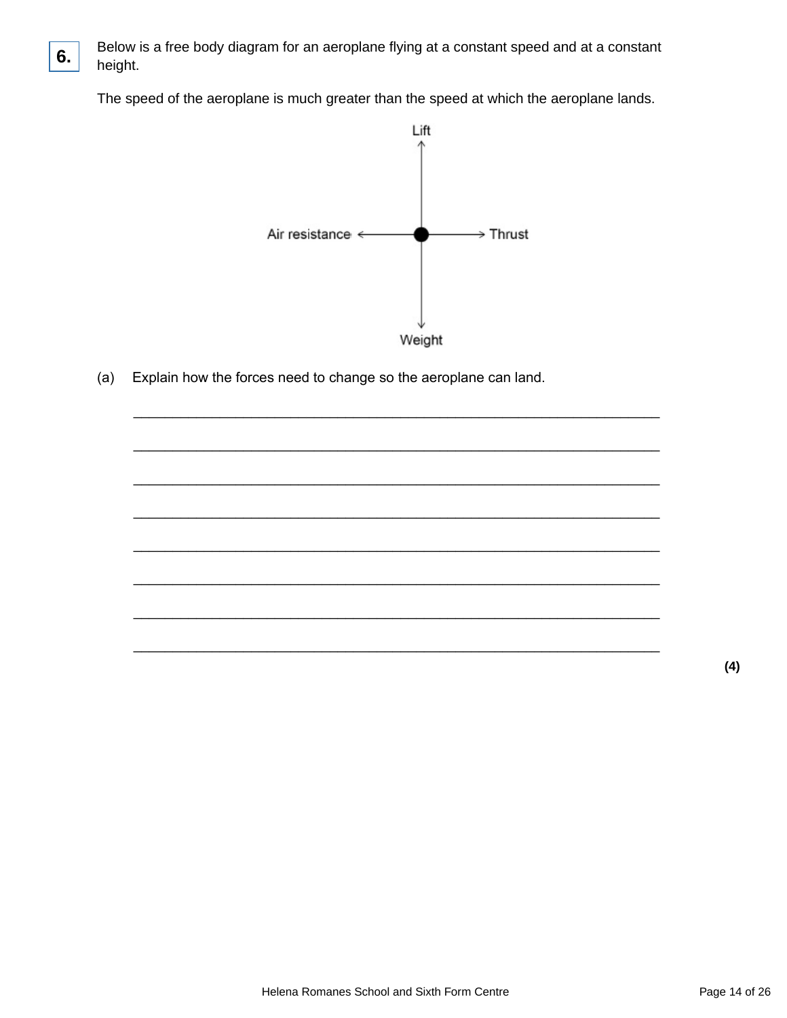

**6.**

The speed of the aeroplane is much greater than the speed at which the aeroplane lands.



(a) Explain how the forces need to change so the aeroplane can land.

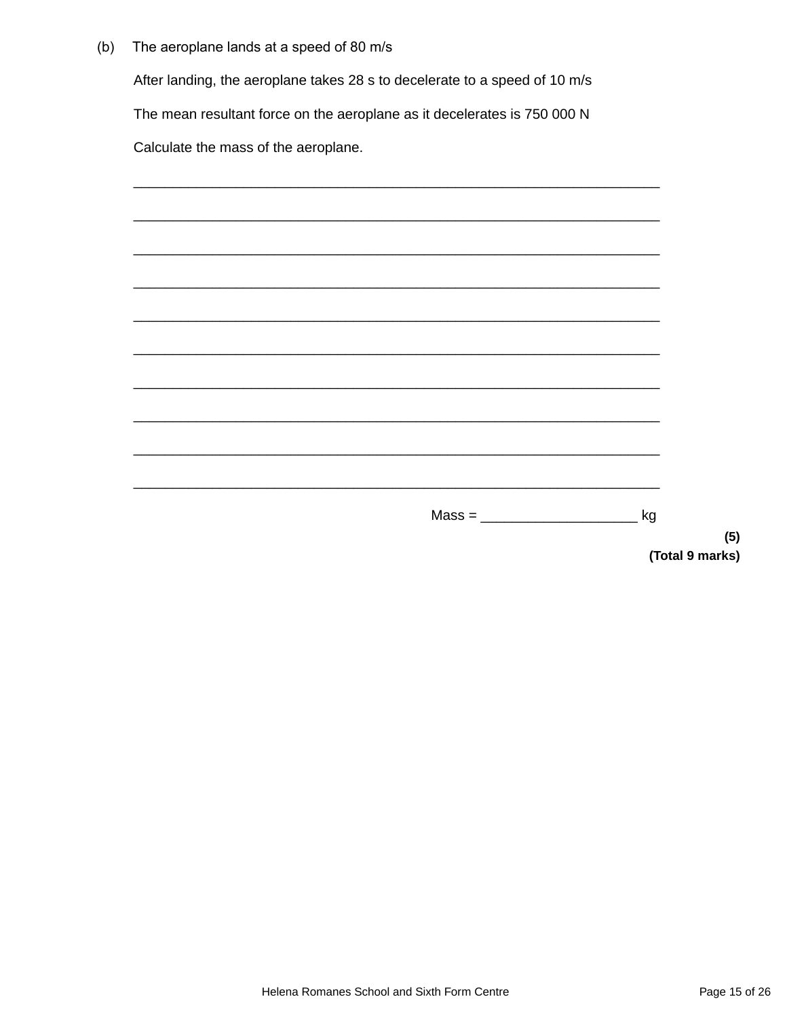$(b)$ The aeroplane lands at a speed of 80 m/s

After landing, the aeroplane takes 28 s to decelerate to a speed of 10 m/s

The mean resultant force on the aeroplane as it decelerates is 750 000 N

Calculate the mass of the aeroplane.

| $Mass = \begin{tabular}{@{}c@{}} \hline \multicolumn{1}{c }{\textbf{Mass =}\n} & \multicolumn{1}{c }{\textbf{Mass =}\n} \\ \hline \multicolumn{1}{c }{\textbf{Mass =}\n} & \multicolumn{1}{c }{\textbf{Mass =}\n} \\ \hline \multicolumn{1}{c }{\textbf{Mass =}\n} & \multicolumn{1}{c }{\textbf{Mass =}\n} \\ \hline \multicolumn{1}{c }{\textbf{Mass =}\n} & \multicolumn{1}{c }{\textbf{Mass =}\n} \\ \hline \multicolumn{1}{c }{\textbf{Mass =}\n} & \multicolumn{1}{c }{\$ | kg |
|---------------------------------------------------------------------------------------------------------------------------------------------------------------------------------------------------------------------------------------------------------------------------------------------------------------------------------------------------------------------------------------------------------------------------------------------------------------------------------|----|

 $(5)$ (Total 9 marks)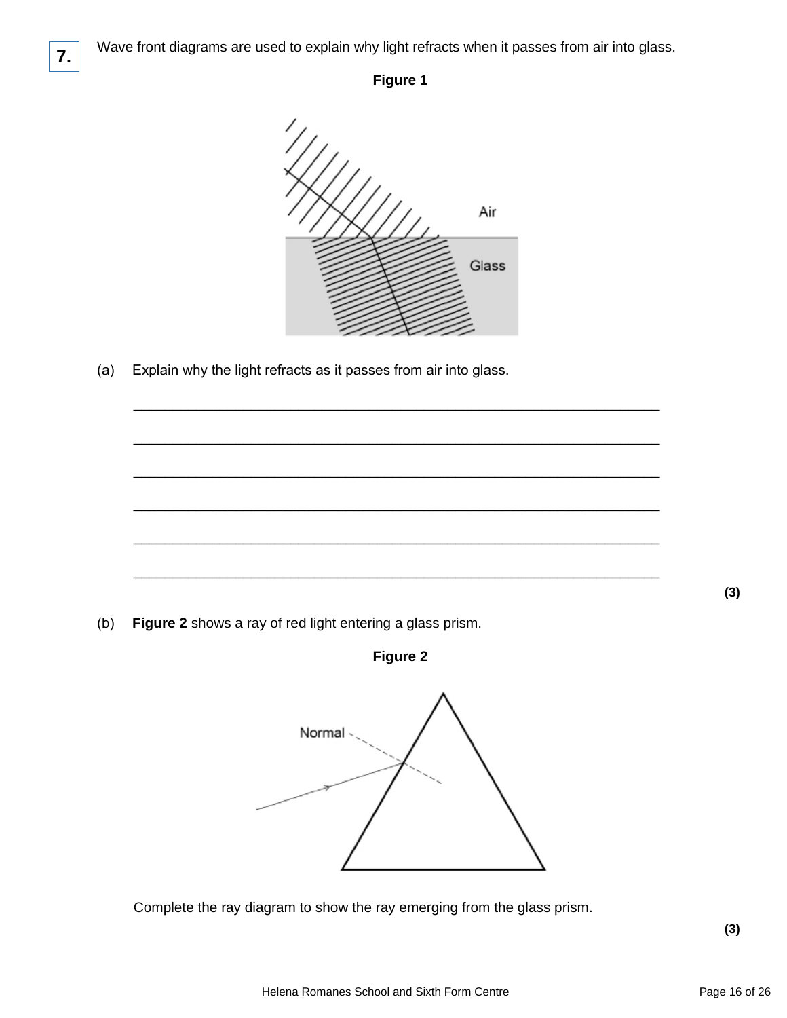

## **Figure 1**



\_\_\_\_\_\_\_\_\_\_\_\_\_\_\_\_\_\_\_\_\_\_\_\_\_\_\_\_\_\_\_\_\_\_\_\_\_\_\_\_\_\_\_\_\_\_\_\_\_\_\_\_\_\_\_\_\_\_\_\_\_\_\_\_\_\_\_

\_\_\_\_\_\_\_\_\_\_\_\_\_\_\_\_\_\_\_\_\_\_\_\_\_\_\_\_\_\_\_\_\_\_\_\_\_\_\_\_\_\_\_\_\_\_\_\_\_\_\_\_\_\_\_\_\_\_\_\_\_\_\_\_\_\_\_

\_\_\_\_\_\_\_\_\_\_\_\_\_\_\_\_\_\_\_\_\_\_\_\_\_\_\_\_\_\_\_\_\_\_\_\_\_\_\_\_\_\_\_\_\_\_\_\_\_\_\_\_\_\_\_\_\_\_\_\_\_\_\_\_\_\_\_

\_\_\_\_\_\_\_\_\_\_\_\_\_\_\_\_\_\_\_\_\_\_\_\_\_\_\_\_\_\_\_\_\_\_\_\_\_\_\_\_\_\_\_\_\_\_\_\_\_\_\_\_\_\_\_\_\_\_\_\_\_\_\_\_\_\_\_

\_\_\_\_\_\_\_\_\_\_\_\_\_\_\_\_\_\_\_\_\_\_\_\_\_\_\_\_\_\_\_\_\_\_\_\_\_\_\_\_\_\_\_\_\_\_\_\_\_\_\_\_\_\_\_\_\_\_\_\_\_\_\_\_\_\_\_

\_\_\_\_\_\_\_\_\_\_\_\_\_\_\_\_\_\_\_\_\_\_\_\_\_\_\_\_\_\_\_\_\_\_\_\_\_\_\_\_\_\_\_\_\_\_\_\_\_\_\_\_\_\_\_\_\_\_\_\_\_\_\_\_\_\_\_

(a) Explain why the light refracts as it passes from air into glass.

**(3)**

(b) **Figure 2** shows a ray of red light entering a glass prism.

**Figure 2**



Complete the ray diagram to show the ray emerging from the glass prism.